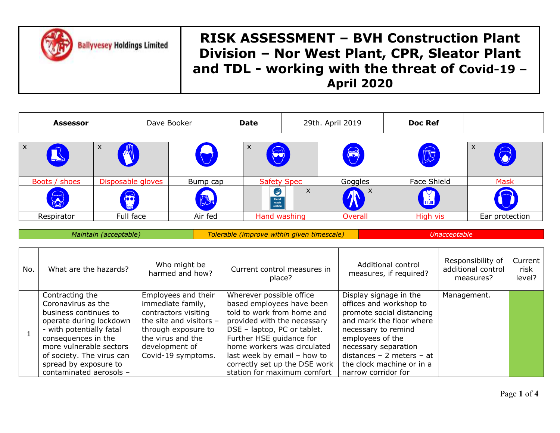**Ballyvesey Holdings Limited** 

| <b>Assessor</b>           |                       | Dave Booker<br>Date   |                                 |  | 29th. April 2019                           |              | <b>Doc Ref</b> |                        |                                              |              |                                                      |                           |
|---------------------------|-----------------------|-----------------------|---------------------------------|--|--------------------------------------------|--------------|----------------|------------------------|----------------------------------------------|--------------|------------------------------------------------------|---------------------------|
| $\boldsymbol{\mathsf{x}}$ |                       | X<br>$\sqrt{2}$       |                                 |  | X                                          |              |                | $\bigotimes$           | 的                                            |              | $\boldsymbol{\mathsf{X}}$                            |                           |
|                           | Boots / shoes         | Disposable gloves     | Bump cap                        |  | <b>Safety Spec</b>                         |              |                | Goggles                | Face Shield                                  |              | <b>Mask</b>                                          |                           |
|                           |                       | B                     | 55                              |  | $\bullet$<br>Hand<br>wash<br>station       | $\mathsf{x}$ |                |                        | <mark>l</mark> u∤n                           |              |                                                      |                           |
| Respirator                |                       | Full face             | Air fed                         |  | Hand washing                               |              |                | <b>Overall</b>         | High vis                                     |              | Ear protection                                       |                           |
|                           |                       | Maintain (acceptable) |                                 |  | Tolerable (improve within given timescale) |              |                |                        |                                              | Unacceptable |                                                      |                           |
| No.                       | What are the hazards? |                       | Who might be<br>harmed and how? |  | Current control measures in<br>place?      |              |                |                        | Additional control<br>measures, if required? |              | Responsibility of<br>additional control<br>measures? | Current<br>risk<br>level? |
|                           | Contracting the       |                       | Employees and their             |  | Wherever possible office                   |              |                | Display signage in the |                                              |              | Management.                                          |                           |

|  | Contracting the           | Employees and their     | Wherever possible office      | Display signage in the      | Management. |  |
|--|---------------------------|-------------------------|-------------------------------|-----------------------------|-------------|--|
|  | Coronavirus as the        | immediate family,       | based employees have been     | offices and workshop to     |             |  |
|  | business continues to     | contractors visiting    | told to work from home and    | promote social distancing   |             |  |
|  | operate during lockdown   | the site and visitors - | provided with the necessary   | and mark the floor where    |             |  |
|  | - with potentially fatal  | through exposure to     | DSE - laptop, PC or tablet.   | necessary to remind         |             |  |
|  | consequences in the       | the virus and the       | Further HSE guidance for      | employees of the            |             |  |
|  | more vulnerable sectors   | development of          | home workers was circulated   | necessary separation        |             |  |
|  | of society. The virus can | Covid-19 symptoms.      | last week by email - how to   | distances $-2$ meters $-at$ |             |  |
|  | spread by exposure to     |                         | correctly set up the DSE work | the clock machine or in a   |             |  |
|  | contaminated aerosols -   |                         | station for maximum comfort   | narrow corridor for         |             |  |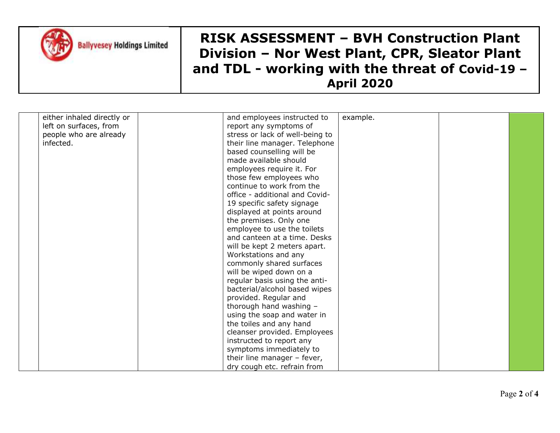

| either inhaled directly or | and employees instructed to     | example. |  |
|----------------------------|---------------------------------|----------|--|
| left on surfaces, from     | report any symptoms of          |          |  |
| people who are already     | stress or lack of well-being to |          |  |
| infected.                  |                                 |          |  |
|                            | their line manager. Telephone   |          |  |
|                            | based counselling will be       |          |  |
|                            | made available should           |          |  |
|                            | employees require it. For       |          |  |
|                            | those few employees who         |          |  |
|                            | continue to work from the       |          |  |
|                            | office - additional and Covid-  |          |  |
|                            | 19 specific safety signage      |          |  |
|                            | displayed at points around      |          |  |
|                            | the premises. Only one          |          |  |
|                            | employee to use the toilets     |          |  |
|                            | and canteen at a time. Desks    |          |  |
|                            | will be kept 2 meters apart.    |          |  |
|                            | Workstations and any            |          |  |
|                            | commonly shared surfaces        |          |  |
|                            | will be wiped down on a         |          |  |
|                            | regular basis using the anti-   |          |  |
|                            | bacterial/alcohol based wipes   |          |  |
|                            | provided. Regular and           |          |  |
|                            | thorough hand washing -         |          |  |
|                            | using the soap and water in     |          |  |
|                            | the toiles and any hand         |          |  |
|                            | cleanser provided. Employees    |          |  |
|                            | instructed to report any        |          |  |
|                            | symptoms immediately to         |          |  |
|                            | their line manager - fever,     |          |  |
|                            |                                 |          |  |
|                            | dry cough etc. refrain from     |          |  |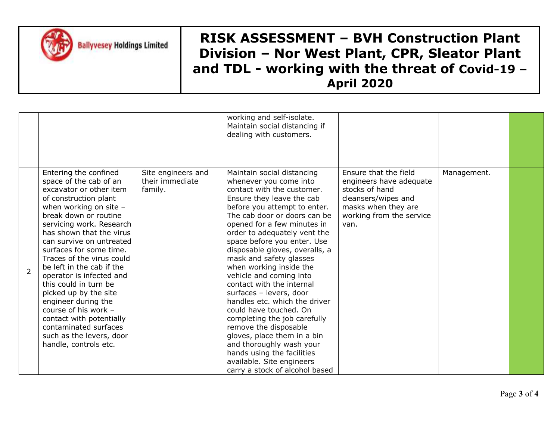

**Ballyvesey Holdings Limited** 

|                |                                                                                                                                                                                                                                                                                                                                                                                                                                                                                                                                                                        |                                                  | working and self-isolate.<br>Maintain social distancing if<br>dealing with customers.                                                                                                                                                                                                                                                                                                                                                                                                                                                                                                                                                                                                                                                |                                                                                                                                                      |             |  |
|----------------|------------------------------------------------------------------------------------------------------------------------------------------------------------------------------------------------------------------------------------------------------------------------------------------------------------------------------------------------------------------------------------------------------------------------------------------------------------------------------------------------------------------------------------------------------------------------|--------------------------------------------------|--------------------------------------------------------------------------------------------------------------------------------------------------------------------------------------------------------------------------------------------------------------------------------------------------------------------------------------------------------------------------------------------------------------------------------------------------------------------------------------------------------------------------------------------------------------------------------------------------------------------------------------------------------------------------------------------------------------------------------------|------------------------------------------------------------------------------------------------------------------------------------------------------|-------------|--|
| $\overline{2}$ | Entering the confined<br>space of the cab of an<br>excavator or other item<br>of construction plant<br>when working on site -<br>break down or routine<br>servicing work. Research<br>has shown that the virus<br>can survive on untreated<br>surfaces for some time.<br>Traces of the virus could<br>be left in the cab if the<br>operator is infected and<br>this could in turn be<br>picked up by the site<br>engineer during the<br>course of his work -<br>contact with potentially<br>contaminated surfaces<br>such as the levers, door<br>handle, controls etc. | Site engineers and<br>their immediate<br>family. | Maintain social distancing<br>whenever you come into<br>contact with the customer.<br>Ensure they leave the cab<br>before you attempt to enter.<br>The cab door or doors can be<br>opened for a few minutes in<br>order to adequately vent the<br>space before you enter. Use<br>disposable gloves, overalls, a<br>mask and safety glasses<br>when working inside the<br>vehicle and coming into<br>contact with the internal<br>surfaces - levers, door<br>handles etc. which the driver<br>could have touched. On<br>completing the job carefully<br>remove the disposable<br>gloves, place them in a bin<br>and thoroughly wash your<br>hands using the facilities<br>available. Site engineers<br>carry a stock of alcohol based | Ensure that the field<br>engineers have adequate<br>stocks of hand<br>cleansers/wipes and<br>masks when they are<br>working from the service<br>van. | Management. |  |